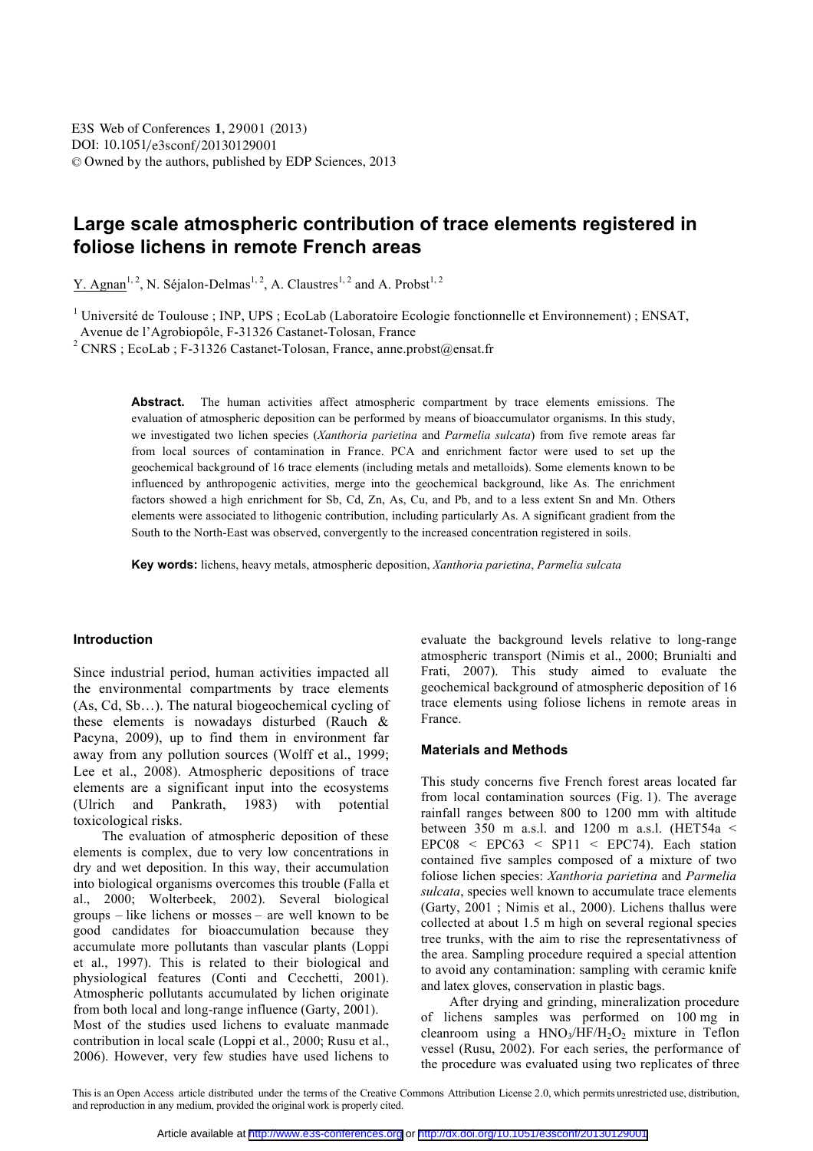# **Large scale atmospheric contribution of trace elements registered in foliose lichens in remote French areas**

Y. Agnan<sup>1, 2</sup>, N. Séjalon-Delmas<sup>1, 2</sup>, A. Claustres<sup>1, 2</sup> and A. Probst<sup>1, 2</sup>

<sup>1</sup> Université de Toulouse ; INP, UPS ; EcoLab (Laboratoire Ecologie fonctionnelle et Environnement) ; ENSAT,

Avenue de l'Agrobiopôle, F-31326 Castanet-Tolosan, France

<sup>2</sup> CNRS ; EcoLab ; F-31326 Castanet-Tolosan, France, anne.probst@ensat.fr

**Abstract.** The human activities affect atmospheric compartment by trace elements emissions. The evaluation of atmospheric deposition can be performed by means of bioaccumulator organisms. In this study, we investigated two lichen species (*Xanthoria parietina* and *Parmelia sulcata*) from five remote areas far from local sources of contamination in France. PCA and enrichment factor were used to set up the geochemical background of 16 trace elements (including metals and metalloids). Some elements known to be influenced by anthropogenic activities, merge into the geochemical background, like As. The enrichment factors showed a high enrichment for Sb, Cd, Zn, As, Cu, and Pb, and to a less extent Sn and Mn. Others elements were associated to lithogenic contribution, including particularly As. A significant gradient from the South to the North-East was observed, convergently to the increased concentration registered in soils.

**Key words:** lichens, heavy metals, atmospheric deposition, *Xanthoria parietina*, *Parmelia sulcata*

#### **Introduction**

Since industrial period, human activities impacted all the environmental compartments by trace elements (As, Cd, Sb…). The natural biogeochemical cycling of these elements is nowadays disturbed (Rauch & Pacyna, 2009), up to find them in environment far away from any pollution sources (Wolff et al., 1999; Lee et al., 2008). Atmospheric depositions of trace elements are a significant input into the ecosystems (Ulrich and Pankrath, 1983) with potential toxicological risks.

The evaluation of atmospheric deposition of these elements is complex, due to very low concentrations in dry and wet deposition. In this way, their accumulation into biological organisms overcomes this trouble (Falla et al., 2000; Wolterbeek, 2002). Several biological groups – like lichens or mosses – are well known to be good candidates for bioaccumulation because they accumulate more pollutants than vascular plants (Loppi et al., 1997). This is related to their biological and physiological features (Conti and Cecchetti, 2001). Atmospheric pollutants accumulated by lichen originate from both local and long-range influence (Garty, 2001). Most of the studies used lichens to evaluate manmade contribution in local scale (Loppi et al., 2000; Rusu et al., 2006). However, very few studies have used lichens to evaluate the background levels relative to long-range atmospheric transport (Nimis et al., 2000; Brunialti and Frati, 2007). This study aimed to evaluate the geochemical background of atmospheric deposition of 16 trace elements using foliose lichens in remote areas in France.

#### **Materials and Methods**

This study concerns five French forest areas located far from local contamination sources (Fig. 1). The average rainfall ranges between 800 to 1200 mm with altitude between 350 m a.s.l. and 1200 m a.s.l. (HET54a  $\leq$  $EPC08 < EPC63 < SP11 < EPC74$ ). Each station contained five samples composed of a mixture of two foliose lichen species: *Xanthoria parietina* and *Parmelia sulcata*, species well known to accumulate trace elements (Garty, 2001 ; Nimis et al., 2000). Lichens thallus were collected at about 1.5 m high on several regional species tree trunks, with the aim to rise the representativness of the area. Sampling procedure required a special attention to avoid any contamination: sampling with ceramic knife and latex gloves, conservation in plastic bags.

After drying and grinding, mineralization procedure of lichens samples was performed on 100 mg in cleanroom using a  $HNO<sub>3</sub>/HF/H<sub>2</sub>O<sub>2</sub>$  mixture in Teflon vessel (Rusu, 2002). For each series, the performance of the procedure was evaluated using two replicates of three

This is an Open Access article distributed under the terms of the Creative Commons Attribution License 2.0, which permits unrestricted use, distribution, and reproduction in any medium, provided the original work is properly cited.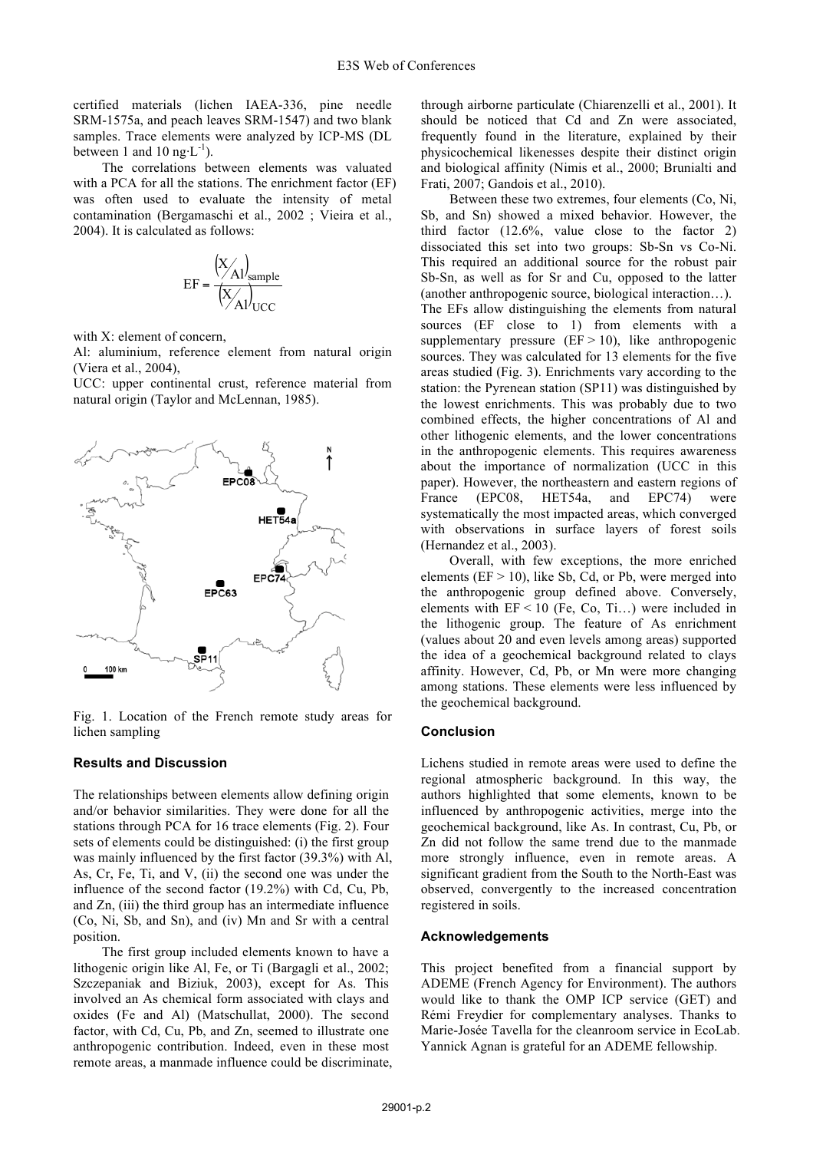certified materials (lichen IAEA-336, pine needle SRM-1575a, and peach leaves SRM-1547) and two blank samples. Trace elements were analyzed by ICP-MS (DL between 1 and 10 ng $\cdot L^{-1}$ ).

The correlations between elements was valuated with a PCA for all the stations. The enrichment factor (EF) was often used to evaluate the intensity of metal contamination (Bergamaschi et al., 2002 ; Vieira et al., 2004). It is calculated as follows:

$$
EF = \frac{\left(\frac{X}{A}\right)_{sample}}{\left(\frac{X}{A}\right)_{UCC}}
$$

with X: element of concern,

Al: aluminium, reference element from natural origin (Viera et al., 2004),

UCC: upper continental crust, reference material from natural origin (Taylor and McLennan, 1985).



Fig. 1. Location of the French remote study areas for lichen sampling

#### **Results and Discussion**

The relationships between elements allow defining origin and/or behavior similarities. They were done for all the stations through PCA for 16 trace elements (Fig. 2). Four sets of elements could be distinguished: (i) the first group was mainly influenced by the first factor (39.3%) with Al, As, Cr, Fe, Ti, and V, (ii) the second one was under the influence of the second factor (19.2%) with Cd, Cu, Pb, and Zn, (iii) the third group has an intermediate influence (Co, Ni, Sb, and Sn), and (iv) Mn and Sr with a central position.

The first group included elements known to have a lithogenic origin like Al, Fe, or Ti (Bargagli et al., 2002; Szczepaniak and Biziuk, 2003), except for As. This involved an As chemical form associated with clays and oxides (Fe and Al) (Matschullat, 2000). The second factor, with Cd, Cu, Pb, and Zn, seemed to illustrate one anthropogenic contribution. Indeed, even in these most remote areas, a manmade influence could be discriminate, through airborne particulate (Chiarenzelli et al., 2001). It should be noticed that Cd and Zn were associated, frequently found in the literature, explained by their physicochemical likenesses despite their distinct origin and biological affinity (Nimis et al., 2000; Brunialti and Frati, 2007; Gandois et al., 2010).

Between these two extremes, four elements (Co, Ni, Sb, and Sn) showed a mixed behavior. However, the third factor (12.6%, value close to the factor 2) dissociated this set into two groups: Sb-Sn vs Co-Ni. This required an additional source for the robust pair Sb-Sn, as well as for Sr and Cu, opposed to the latter (another anthropogenic source, biological interaction…). The EFs allow distinguishing the elements from natural sources (EF close to 1) from elements with a supplementary pressure  $(EF > 10)$ , like anthropogenic sources. They was calculated for 13 elements for the five areas studied (Fig. 3). Enrichments vary according to the station: the Pyrenean station (SP11) was distinguished by the lowest enrichments. This was probably due to two combined effects, the higher concentrations of Al and other lithogenic elements, and the lower concentrations in the anthropogenic elements. This requires awareness about the importance of normalization (UCC in this paper). However, the northeastern and eastern regions of France (EPC08, HET54a, and EPC74) were systematically the most impacted areas, which converged with observations in surface layers of forest soils (Hernandez et al., 2003).

Overall, with few exceptions, the more enriched elements ( $EF > 10$ ), like Sb, Cd, or Pb, were merged into the anthropogenic group defined above. Conversely, elements with  $EF < 10$  (Fe, Co, Ti...) were included in the lithogenic group. The feature of As enrichment (values about 20 and even levels among areas) supported the idea of a geochemical background related to clays affinity. However, Cd, Pb, or Mn were more changing among stations. These elements were less influenced by the geochemical background.

#### **Conclusion**

Lichens studied in remote areas were used to define the regional atmospheric background. In this way, the authors highlighted that some elements, known to be influenced by anthropogenic activities, merge into the geochemical background, like As. In contrast, Cu, Pb, or Zn did not follow the same trend due to the manmade more strongly influence, even in remote areas. A significant gradient from the South to the North-East was observed, convergently to the increased concentration registered in soils.

### **Acknowledgements**

This project benefited from a financial support by ADEME (French Agency for Environment). The authors would like to thank the OMP ICP service (GET) and Rémi Freydier for complementary analyses. Thanks to Marie-Josée Tavella for the cleanroom service in EcoLab. Yannick Agnan is grateful for an ADEME fellowship.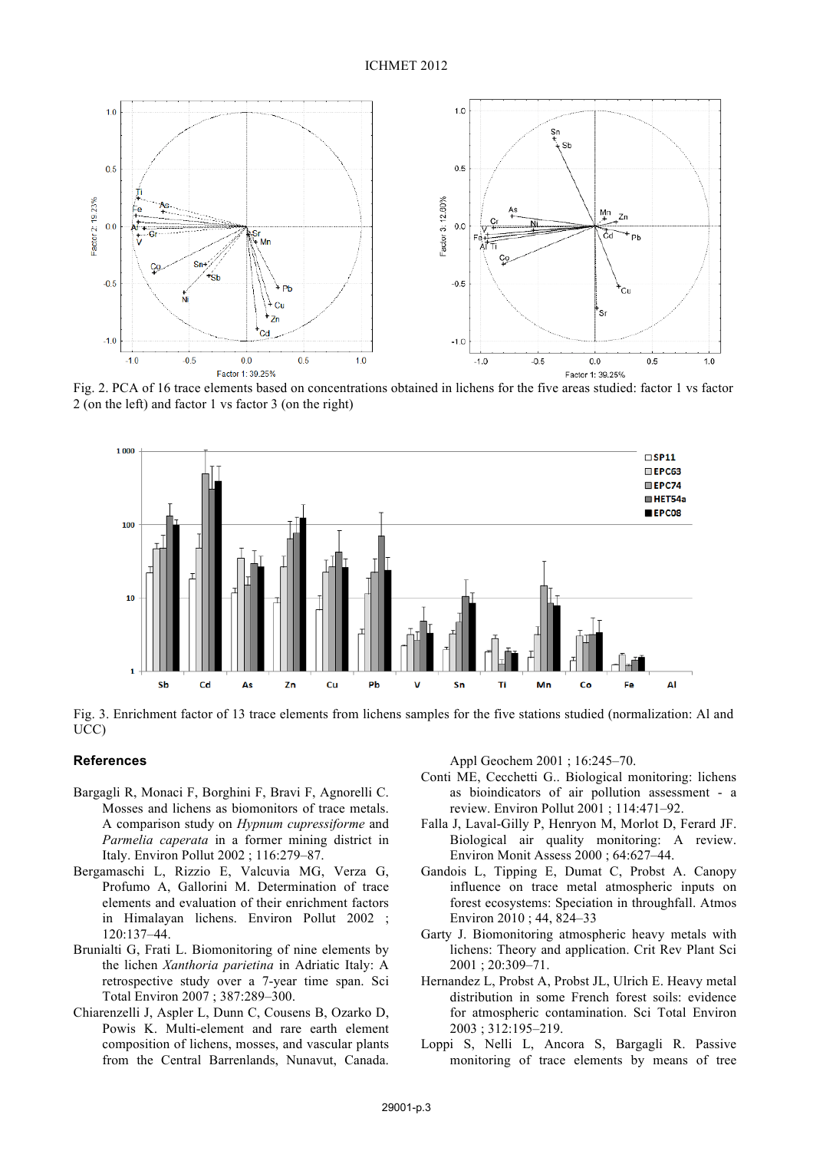

Fig. 2. PCA of 16 trace elements based on concentrations obtained in lichens for the five areas studied: factor 1 vs factor 2 (on the left) and factor 1 vs factor 3 (on the right)





## **References**

- Bargagli R, Monaci F, Borghini F, Bravi F, Agnorelli C. Mosses and lichens as biomonitors of trace metals. A comparison study on *Hypnum cupressiforme* and *Parmelia caperata* in a former mining district in Italy. Environ Pollut 2002 ; 116:279–87.
- Bergamaschi L, Rizzio E, Valcuvia MG, Verza G, Profumo A, Gallorini M. Determination of trace elements and evaluation of their enrichment factors in Himalayan lichens. Environ Pollut 2002 ; 120:137–44.
- Brunialti G, Frati L. Biomonitoring of nine elements by the lichen *Xanthoria parietina* in Adriatic Italy: A retrospective study over a 7-year time span. Sci Total Environ 2007 ; 387:289–300.
- Chiarenzelli J, Aspler L, Dunn C, Cousens B, Ozarko D, Powis K. Multi-element and rare earth element composition of lichens, mosses, and vascular plants from the Central Barrenlands, Nunavut, Canada.

Appl Geochem 2001 ; 16:245–70.

- Conti ME, Cecchetti G.. Biological monitoring: lichens as bioindicators of air pollution assessment - a review. Environ Pollut 2001 ; 114:471–92.
- Falla J, Laval-Gilly P, Henryon M, Morlot D, Ferard JF. Biological air quality monitoring: A review. Environ Monit Assess 2000 ; 64:627–44.
- Gandois L, Tipping E, Dumat C, Probst A. Canopy influence on trace metal atmospheric inputs on forest ecosystems: Speciation in throughfall. Atmos Environ 2010 ; 44, 824–33
- Garty J. Biomonitoring atmospheric heavy metals with lichens: Theory and application. Crit Rev Plant Sci 2001 ; 20:309–71.
- Hernandez L, Probst A, Probst JL, Ulrich E. Heavy metal distribution in some French forest soils: evidence for atmospheric contamination. Sci Total Environ 2003 ; 312:195–219.
- Loppi S, Nelli L, Ancora S, Bargagli R. Passive monitoring of trace elements by means of tree